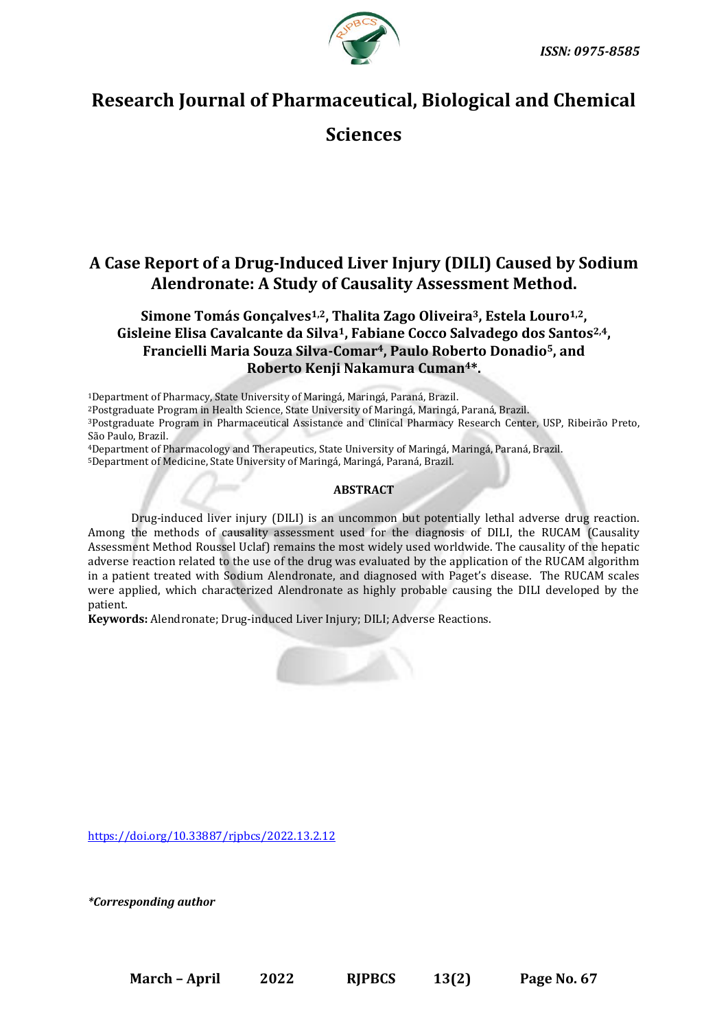



# **Research Journal of Pharmaceutical, Biological and Chemical**

**Sciences**

## **A Case Report of a Drug-Induced Liver Injury (DILI) Caused by Sodium Alendronate: A Study of Causality Assessment Method.**

### **Simone Tomás Gonçalves1,2, Thalita Zago Oliveira3, Estela Louro1,2, Gisleine Elisa Cavalcante da Silva1, Fabiane Cocco Salvadego dos Santos2,4, Francielli Maria Souza Silva-Comar4, Paulo Roberto Donadio5, and Roberto Kenji Nakamura Cuman4\*.**

<sup>1</sup>Department of Pharmacy, State University of Maringá, Maringá, Paraná, Brazil.

<sup>2</sup>Postgraduate Program in Health Science, State University of Maringá, Maringá, Paraná, Brazil.

<sup>3</sup>Postgraduate Program in Pharmaceutical Assistance and Clinical Pharmacy Research Center, USP, Ribeirão Preto, São Paulo, Brazil.

<sup>4</sup>Department of Pharmacology and Therapeutics, State University of Maringá, Maringá, Paraná, Brazil.

<sup>5</sup>Department of Medicine, State University of Maringá, Maringá, Paraná, Brazil.

#### **ABSTRACT**

Drug-induced liver injury (DILI) is an uncommon but potentially lethal adverse drug reaction. Among the methods of causality assessment used for the diagnosis of DILI, the RUCAM (Causality Assessment Method Roussel Uclaf) remains the most widely used worldwide. The causality of the hepatic adverse reaction related to the use of the drug was evaluated by the application of the RUCAM algorithm in a patient treated with Sodium Alendronate, and diagnosed with Paget's disease. The RUCAM scales were applied, which characterized Alendronate as highly probable causing the DILI developed by the patient.

**Keywords:** Alendronate; Drug-induced Liver Injury; DILI; Adverse Reactions.



<https://doi.org/10.33887/rjpbcs/2022.13.2.12>

*\*Corresponding author*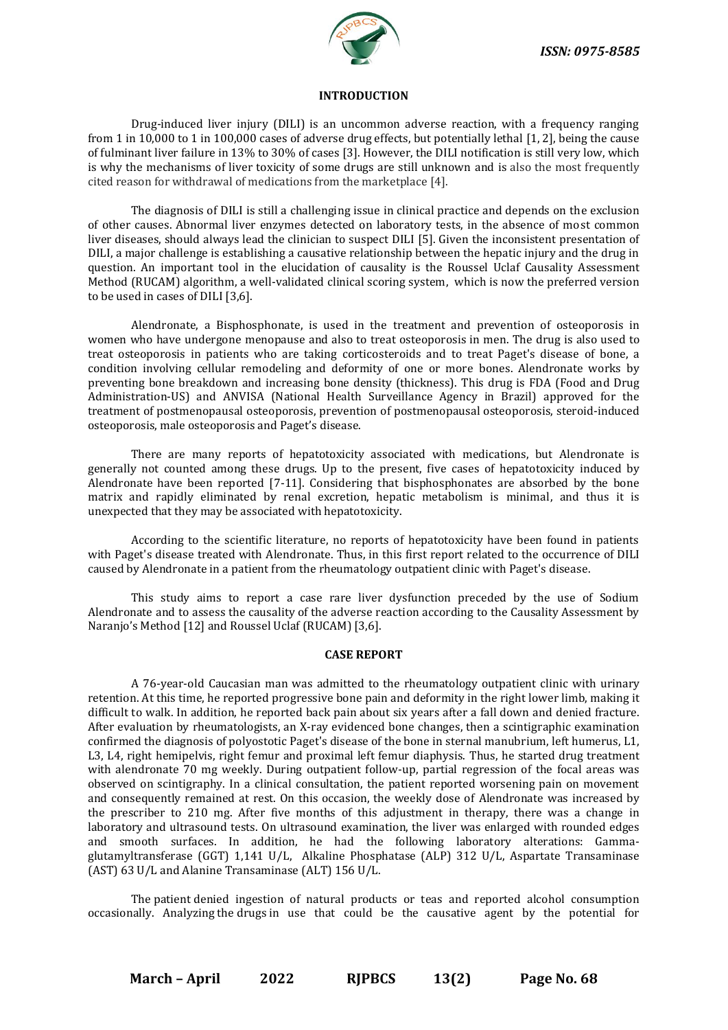

#### **INTRODUCTION**

Drug-induced liver injury (DILI) is an uncommon adverse reaction, with a frequency ranging from 1 in 10,000 to 1 in 100,000 cases of adverse drug effects, but potentially lethal [1, 2], being the cause of fulminant liver failure in 13% to 30% of cases [3]. However, the DILI notification is still very low, which is why the mechanisms of liver toxicity of some drugs are still unknown and is also the most frequently cited reason for withdrawal of medications from the marketplace [4].

The diagnosis of DILI is still a challenging issue in clinical practice and depends on the exclusion of other causes. Abnormal liver enzymes detected on laboratory tests, in the absence of most common liver diseases, should always lead the clinician to suspect DILI [5]. Given the inconsistent presentation of DILI, a major challenge is establishing a causative relationship between the hepatic injury and the drug in question. An important tool in the elucidation of causality is the Roussel Uclaf Causality Assessment Method (RUCAM) algorithm, a well-validated clinical scoring system, which is now the preferred version to be used in cases of DILI [3,6].

Alendronate, a Bisphosphonate, is used in the treatment and prevention of osteoporosis in women who have undergone menopause and also to treat osteoporosis in men. The drug is also used to treat osteoporosis in patients who are taking corticosteroids and to treat Paget's disease of bone, a condition involving cellular remodeling and deformity of one or more bones. Alendronate works by preventing bone breakdown and increasing bone density (thickness). This drug is FDA (Food and Drug Administration-US) and ANVISA (National Health Surveillance Agency in Brazil) approved for the treatment of postmenopausal osteoporosis, prevention of postmenopausal osteoporosis, steroid-induced osteoporosis, male osteoporosis and Paget's disease.

There are many reports of hepatotoxicity associated with medications, but Alendronate is generally not counted among these drugs. Up to the present, five cases of hepatotoxicity induced by Alendronate have been reported [7-11]. Considering that bisphosphonates are absorbed by the bone matrix and rapidly eliminated by renal excretion, hepatic metabolism is minimal, and thus it is unexpected that they may be associated with hepatotoxicity.

According to the scientific literature, no reports of hepatotoxicity have been found in patients with Paget's disease treated with Alendronate. Thus, in this first report related to the occurrence of DILI caused by Alendronate in a patient from the rheumatology outpatient clinic with Paget's disease.

This study aims to report a case rare liver dysfunction preceded by the use of Sodium Alendronate and to assess the causality of the adverse reaction according to the Causality Assessment by Naranjo's Method [12] and Roussel Uclaf (RUCAM) [3,6].

#### **CASE REPORT**

A 76-year-old Caucasian man was admitted to the rheumatology outpatient clinic with urinary retention. At this time, he reported progressive bone pain and deformity in the right lower limb, making it difficult to walk. In addition, he reported back pain about six years after a fall down and denied fracture. After evaluation by rheumatologists, an X-ray evidenced bone changes, then a scintigraphic examination confirmed the diagnosis of polyostotic Paget's disease of the bone in sternal manubrium, left humerus, L1, L3, L4, right hemipelvis, right femur and proximal left femur diaphysis. Thus, he started drug treatment with alendronate 70 mg weekly. During outpatient follow-up, partial regression of the focal areas was observed on scintigraphy. In a clinical consultation, the patient reported worsening pain on movement and consequently remained at rest. On this occasion, the weekly dose of Alendronate was increased by the prescriber to 210 mg. After five months of this adjustment in therapy, there was a change in laboratory and ultrasound tests. On ultrasound examination, the liver was enlarged with rounded edges and smooth surfaces. In addition, he had the following laboratory alterations: Gammaglutamyltransferase (GGT) 1,141 U/L, Alkaline Phosphatase (ALP) 312 U/L, Aspartate Transaminase (AST) 63 U/L and Alanine Transaminase (ALT) 156 U/L.

The patient denied ingestion of natural products or teas and reported alcohol consumption occasionally. Analyzing the drugs in use that could be the causative agent by the potential for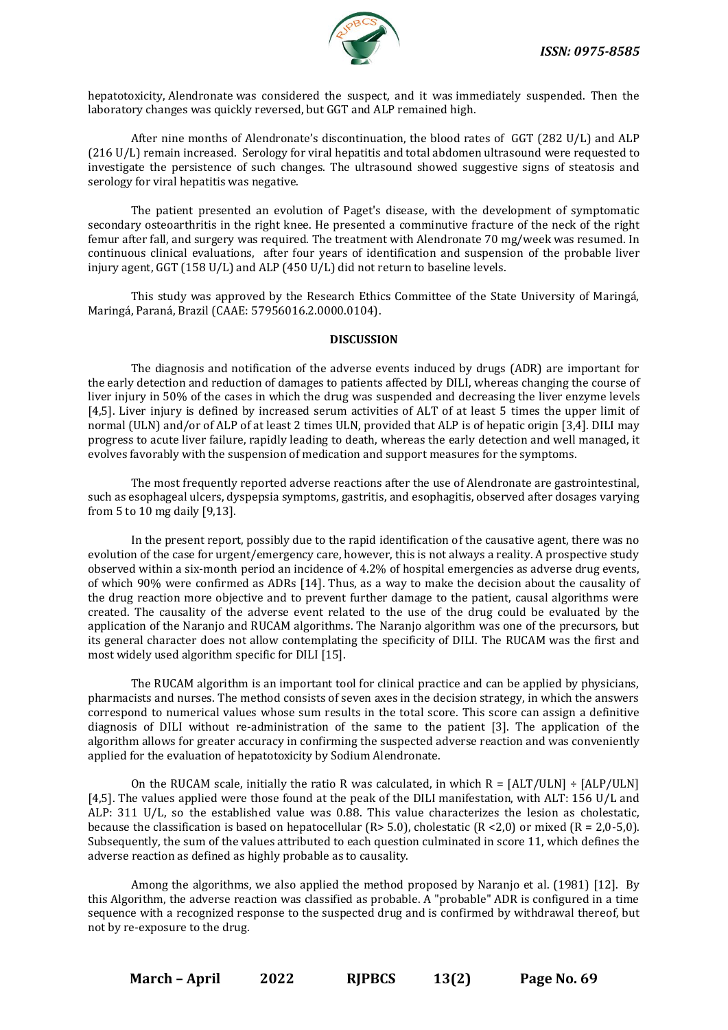

hepatotoxicity, Alendronate was considered the suspect, and it was immediately suspended. Then the laboratory changes was quickly reversed, but GGT and ALP remained high.

After nine months of Alendronate's discontinuation, the blood rates of GGT (282 U/L) and ALP (216 U/L) remain increased. Serology for viral hepatitis and total abdomen ultrasound were requested to investigate the persistence of such changes. The ultrasound showed suggestive signs of steatosis and serology for viral hepatitis was negative.

The patient presented an evolution of Paget's disease, with the development of symptomatic secondary osteoarthritis in the right knee. He presented a comminutive fracture of the neck of the right femur after fall, and surgery was required. The treatment with Alendronate 70 mg/week was resumed. In continuous clinical evaluations, after four years of identification and suspension of the probable liver injury agent, GGT (158 U/L) and ALP (450 U/L) did not return to baseline levels.

This study was approved by the Research Ethics Committee of the State University of Maringá, Maringá, Paraná, Brazil (CAAE: 57956016.2.0000.0104).

#### **DISCUSSION**

The diagnosis and notification of the adverse events induced by drugs (ADR) are important for the early detection and reduction of damages to patients affected by DILI, whereas changing the course of liver injury in 50% of the cases in which the drug was suspended and decreasing the liver enzyme levels [4,5]. Liver injury is defined by increased serum activities of ALT of at least 5 times the upper limit of normal (ULN) and/or of ALP of at least 2 times ULN, provided that ALP is of hepatic origin [3,4]. DILI may progress to acute liver failure, rapidly leading to death, whereas the early detection and well managed, it evolves favorably with the suspension of medication and support measures for the symptoms.

The most frequently reported adverse reactions after the use of Alendronate are gastrointestinal, such as esophageal ulcers, dyspepsia symptoms, gastritis, and esophagitis, observed after dosages varying from 5 to 10 mg daily [9,13].

In the present report, possibly due to the rapid identification of the causative agent, there was no evolution of the case for urgent/emergency care, however, this is not always a reality. A prospective study observed within a six-month period an incidence of 4.2% of hospital emergencies as adverse drug events, of which 90% were confirmed as ADRs [14]. Thus, as a way to make the decision about the causality of the drug reaction more objective and to prevent further damage to the patient, causal algorithms were created. The causality of the adverse event related to the use of the drug could be evaluated by the application of the Naranjo and RUCAM algorithms. The Naranjo algorithm was one of the precursors, but its general character does not allow contemplating the specificity of DILI. The RUCAM was the first and most widely used algorithm specific for DILI [15].

The RUCAM algorithm is an important tool for clinical practice and can be applied by physicians, pharmacists and nurses. The method consists of seven axes in the decision strategy, in which the answers correspond to numerical values whose sum results in the total score. This score can assign a definitive diagnosis of DILI without re-administration of the same to the patient [3]. The application of the algorithm allows for greater accuracy in confirming the suspected adverse reaction and was conveniently applied for the evaluation of hepatotoxicity by Sodium Alendronate.

On the RUCAM scale, initially the ratio R was calculated, in which  $R = [ALT/ULN] \div [ALP/ULN]$ [4,5]. The values applied were those found at the peak of the DILI manifestation, with ALT: 156 U/L and ALP: 311 U/L, so the established value was 0.88. This value characterizes the lesion as cholestatic, because the classification is based on hepatocellular ( $R > 5.0$ ), cholestatic ( $R < 2.0$ ) or mixed ( $R = 2.0-5.0$ ). Subsequently, the sum of the values attributed to each question culminated in score 11, which defines the adverse reaction as defined as highly probable as to causality.

Among the algorithms, we also applied the method proposed by Naranjo et al. (1981) [12]. By this Algorithm, the adverse reaction was classified as probable. A "probable" ADR is configured in a time sequence with a recognized response to the suspected drug and is confirmed by withdrawal thereof, but not by re-exposure to the drug.

**March – April 2022 RJPBCS 13(2) Page No. 69**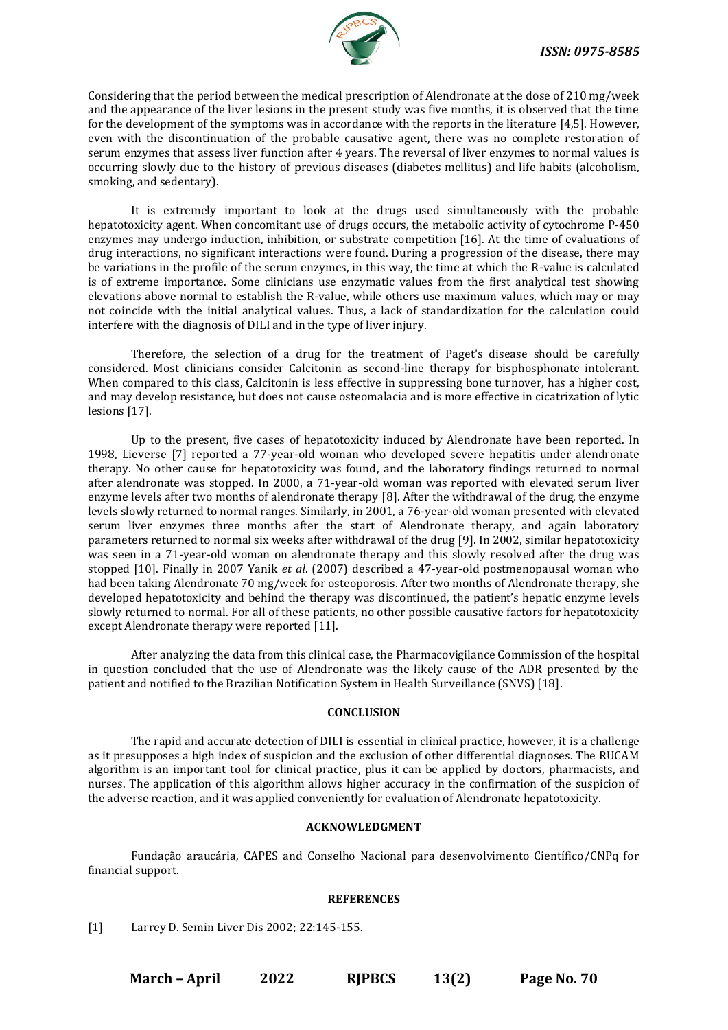

Considering that the period between the medical prescription of Alendronate at the dose of 210 mg/week and the appearance of the liver lesions in the present study was five months, it is observed that the time for the development of the symptoms was in accordance with the reports in the literature [4,5]. However, even with the discontinuation of the probable causative agent, there was no complete restoration of serum enzymes that assess liver function after 4 years. The reversal of liver enzymes to normal values is occurring slowly due to the history of previous diseases (diabetes mellitus) and life habits (alcoholism, smoking, and sedentary).

It is extremely important to look at the drugs used simultaneously with the probable hepatotoxicity agent. When concomitant use of drugs occurs, the metabolic activity of cytochrome P-450 enzymes may undergo induction, inhibition, or substrate competition [16]. At the time of evaluations of drug interactions, no significant interactions were found. During a progression of the disease, there may be variations in the profile of the serum enzymes, in this way, the time at which the R-value is calculated is of extreme importance. Some clinicians use enzymatic values from the first analytical test showing elevations above normal to establish the R-value, while others use maximum values, which may or may not coincide with the initial analytical values. Thus, a lack of standardization for the calculation could interfere with the diagnosis of DILI and in the type of liver injury.

Therefore, the selection of a drug for the treatment of Paget's disease should be carefully considered. Most clinicians consider Calcitonin as second-line therapy for bisphosphonate intolerant. When compared to this class, Calcitonin is less effective in suppressing bone turnover, has a higher cost, and may develop resistance, but does not cause osteomalacia and is more effective in cicatrization of lytic lesions [17].

Up to the present, five cases of hepatotoxicity induced by Alendronate have been reported. In 1998, Lieverse [7] reported a 77-year-old woman who developed severe hepatitis under alendronate therapy. No other cause for hepatotoxicity was found, and the laboratory findings returned to normal after alendronate was stopped. In 2000, a 71-year-old woman was reported with elevated serum liver enzyme levels after two months of alendronate therapy [8]. After the withdrawal of the drug, the enzyme levels slowly returned to normal ranges. Similarly, in 2001, a 76-year-old woman presented with elevated serum liver enzymes three months after the start of Alendronate therapy, and again laboratory parameters returned to normal six weeks after withdrawal of the drug [9]. In 2002, similar hepatotoxicity was seen in a 71-year-old woman on alendronate therapy and this slowly resolved after the drug was stopped [10]. Finally in 2007 Yanik *et al*. (2007) described a 47-year-old postmenopausal woman who had been taking Alendronate 70 mg/week for osteoporosis. After two months of Alendronate therapy, she developed hepatotoxicity and behind the therapy was discontinued, the patient's hepatic enzyme levels slowly returned to normal. For all of these patients, no other possible causative factors for hepatotoxicity except Alendronate therapy were reported [11].

After analyzing the data from this clinical case, the Pharmacovigilance Commission of the hospital in question concluded that the use of Alendronate was the likely cause of the ADR presented by the patient and notified to the Brazilian Notification System in Health Surveillance (SNVS) [18].

#### **CONCLUSION**

The rapid and accurate detection of DILI is essential in clinical practice, however, it is a challenge as it presupposes a high index of suspicion and the exclusion of other differential diagnoses. The RUCAM algorithm is an important tool for clinical practice, plus it can be applied by doctors, pharmacists, and nurses. The application of this algorithm allows higher accuracy in the confirmation of the suspicion of the adverse reaction, and it was applied conveniently for evaluation of Alendronate hepatotoxicity.

#### **ACKNOWLEDGMENT**

Fundação araucária, CAPES and Conselho Nacional para desenvolvimento Científico/CNPq for financial support.

#### **REFERENCES**

[1] Larrey D. Semin Liver Dis 2002; 22:145-155.

**March – April 2022 RJPBCS 13(2) Page No. 70**